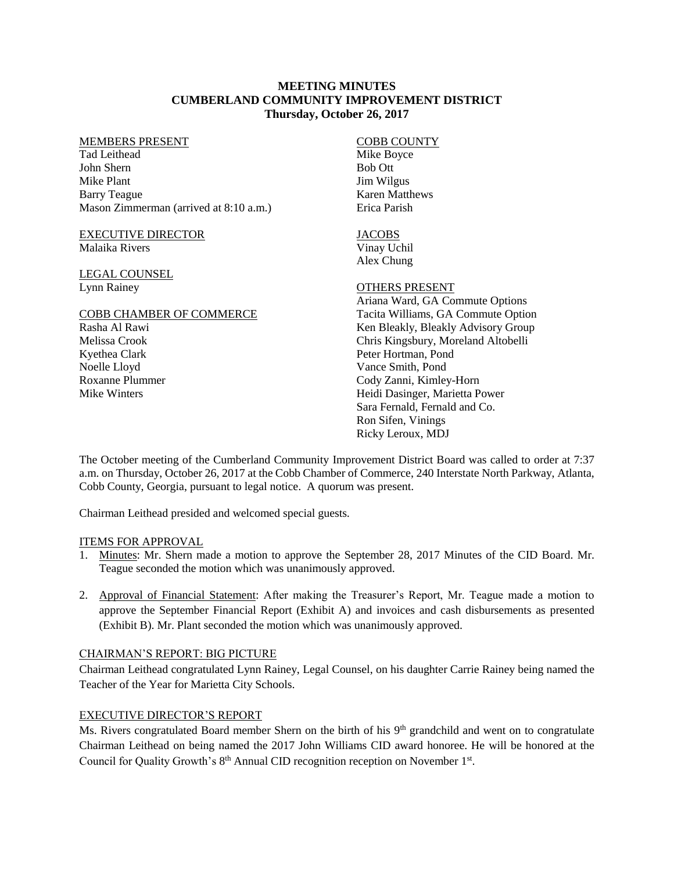### **MEETING MINUTES CUMBERLAND COMMUNITY IMPROVEMENT DISTRICT Thursday, October 26, 2017**

#### MEMBERS PRESENT

Tad Leithead John Shern Mike Plant Barry Teague Mason Zimmerman (arrived at 8:10 a.m.)

#### EXECUTIVE DIRECTOR Malaika Rivers

### LEGAL COUNSEL Lynn Rainey

# COBB CHAMBER OF COMMERCE Rasha Al Rawi Melissa Crook Kyethea Clark Noelle Lloyd Roxanne Plummer Mike Winters

#### COBB COUNTY Mike Boyce Bob Ott Jim Wilgus Karen Matthews Erica Parish

# **JACOBS**

Vinay Uchil Alex Chung

# OTHERS PRESENT

Ariana Ward, GA Commute Options Tacita Williams, GA Commute Option Ken Bleakly, Bleakly Advisory Group Chris Kingsbury, Moreland Altobelli Peter Hortman, Pond Vance Smith, Pond Cody Zanni, Kimley-Horn Heidi Dasinger, Marietta Power Sara Fernald, Fernald and Co. Ron Sifen, Vinings Ricky Leroux, MDJ

The October meeting of the Cumberland Community Improvement District Board was called to order at 7:37 a.m. on Thursday, October 26, 2017 at the Cobb Chamber of Commerce, 240 Interstate North Parkway, Atlanta, Cobb County, Georgia, pursuant to legal notice. A quorum was present.

Chairman Leithead presided and welcomed special guests.

### ITEMS FOR APPROVAL

- 1. Minutes: Mr. Shern made a motion to approve the September 28, 2017 Minutes of the CID Board. Mr. Teague seconded the motion which was unanimously approved.
- 2. Approval of Financial Statement: After making the Treasurer's Report, Mr. Teague made a motion to approve the September Financial Report (Exhibit A) and invoices and cash disbursements as presented (Exhibit B). Mr. Plant seconded the motion which was unanimously approved.

### CHAIRMAN'S REPORT: BIG PICTURE

Chairman Leithead congratulated Lynn Rainey, Legal Counsel, on his daughter Carrie Rainey being named the Teacher of the Year for Marietta City Schools.

# EXECUTIVE DIRECTOR'S REPORT

Ms. Rivers congratulated Board member Shern on the birth of his 9<sup>th</sup> grandchild and went on to congratulate Chairman Leithead on being named the 2017 John Williams CID award honoree. He will be honored at the Council for Quality Growth's 8<sup>th</sup> Annual CID recognition reception on November 1<sup>st</sup>.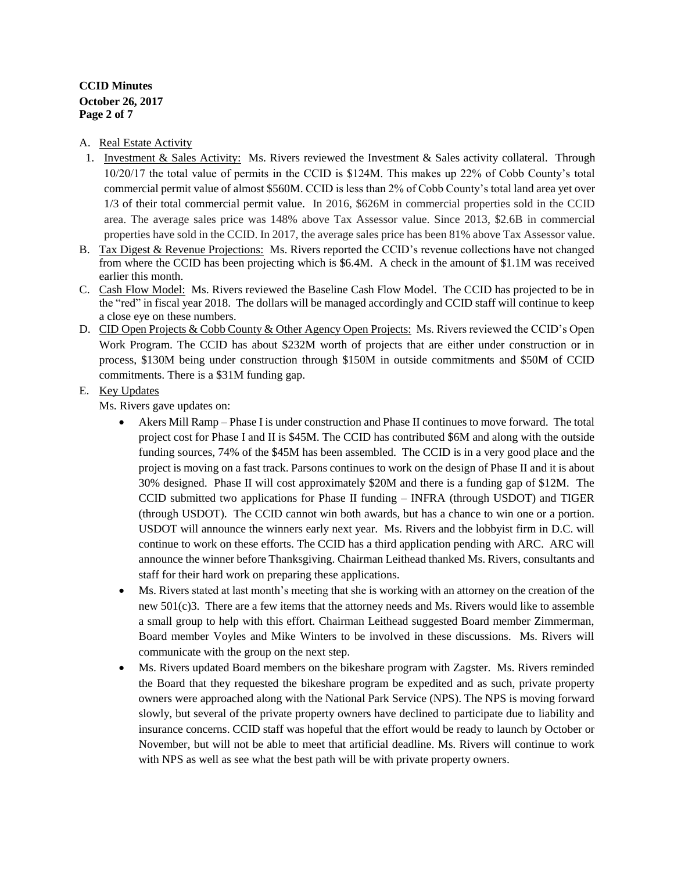# **CCID Minutes October 26, 2017 Page 2 of 7**

### A. Real Estate Activity

- 1. Investment & Sales Activity: Ms. Rivers reviewed the Investment & Sales activity collateral. Through 10/20/17 the total value of permits in the CCID is \$124M. This makes up 22% of Cobb County's total commercial permit value of almost \$560M. CCID is less than 2% of Cobb County's total land area yet over 1/3 of their total commercial permit value. In 2016, \$626M in commercial properties sold in the CCID area. The average sales price was 148% above Tax Assessor value. Since 2013, \$2.6B in commercial properties have sold in the CCID. In 2017, the average sales price has been 81% above Tax Assessor value.
- B. Tax Digest & Revenue Projections: Ms. Rivers reported the CCID's revenue collections have not changed from where the CCID has been projecting which is \$6.4M. A check in the amount of \$1.1M was received earlier this month.
- C. Cash Flow Model: Ms. Rivers reviewed the Baseline Cash Flow Model. The CCID has projected to be in the "red" in fiscal year 2018. The dollars will be managed accordingly and CCID staff will continue to keep a close eye on these numbers.
- D. CID Open Projects & Cobb County & Other Agency Open Projects: Ms. Rivers reviewed the CCID's Open Work Program. The CCID has about \$232M worth of projects that are either under construction or in process, \$130M being under construction through \$150M in outside commitments and \$50M of CCID commitments. There is a \$31M funding gap.

### E. Key Updates

Ms. Rivers gave updates on:

- Akers Mill Ramp Phase I is under construction and Phase II continues to move forward. The total project cost for Phase I and II is \$45M. The CCID has contributed \$6M and along with the outside funding sources, 74% of the \$45M has been assembled. The CCID is in a very good place and the project is moving on a fast track. Parsons continues to work on the design of Phase II and it is about 30% designed. Phase II will cost approximately \$20M and there is a funding gap of \$12M. The CCID submitted two applications for Phase II funding – INFRA (through USDOT) and TIGER (through USDOT). The CCID cannot win both awards, but has a chance to win one or a portion. USDOT will announce the winners early next year. Ms. Rivers and the lobbyist firm in D.C. will continue to work on these efforts. The CCID has a third application pending with ARC. ARC will announce the winner before Thanksgiving. Chairman Leithead thanked Ms. Rivers, consultants and staff for their hard work on preparing these applications.
- Ms. Rivers stated at last month's meeting that she is working with an attorney on the creation of the new 501(c)3. There are a few items that the attorney needs and Ms. Rivers would like to assemble a small group to help with this effort. Chairman Leithead suggested Board member Zimmerman, Board member Voyles and Mike Winters to be involved in these discussions. Ms. Rivers will communicate with the group on the next step.
- Ms. Rivers updated Board members on the bikeshare program with Zagster. Ms. Rivers reminded the Board that they requested the bikeshare program be expedited and as such, private property owners were approached along with the National Park Service (NPS). The NPS is moving forward slowly, but several of the private property owners have declined to participate due to liability and insurance concerns. CCID staff was hopeful that the effort would be ready to launch by October or November, but will not be able to meet that artificial deadline. Ms. Rivers will continue to work with NPS as well as see what the best path will be with private property owners.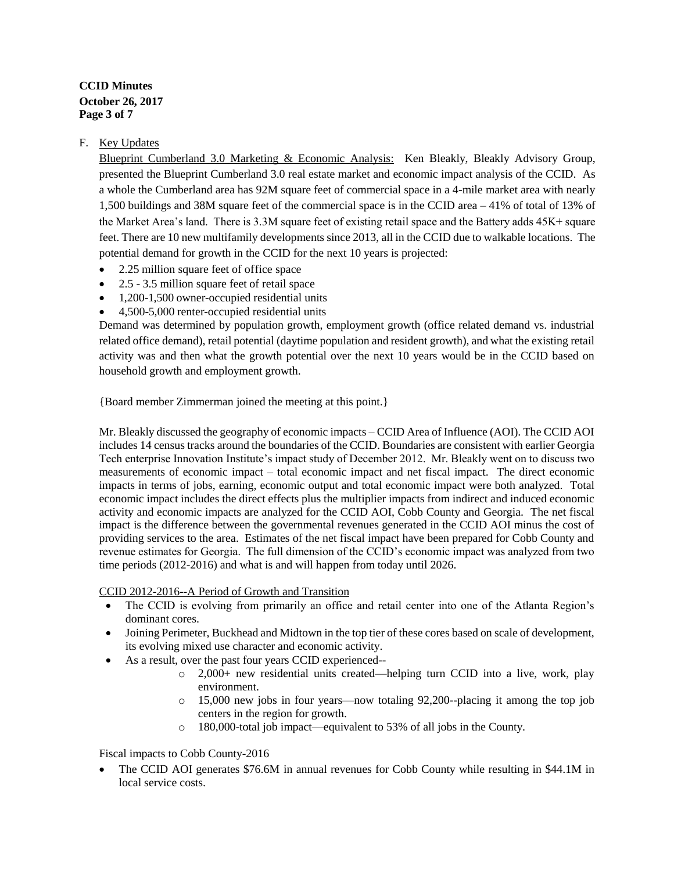# **CCID Minutes October 26, 2017 Page 3 of 7**

# F. Key Updates

Blueprint Cumberland 3.0 Marketing & Economic Analysis: Ken Bleakly, Bleakly Advisory Group, presented the Blueprint Cumberland 3.0 real estate market and economic impact analysis of the CCID. As a whole the Cumberland area has 92M square feet of commercial space in a 4-mile market area with nearly 1,500 buildings and 38M square feet of the commercial space is in the CCID area – 41% of total of 13% of the Market Area's land. There is 3.3M square feet of existing retail space and the Battery adds 45K+ square feet. There are 10 new multifamily developments since 2013, all in the CCID due to walkable locations. The potential demand for growth in the CCID for the next 10 years is projected:

- 2.25 million square feet of office space
- 2.5 3.5 million square feet of retail space
- 1,200-1,500 owner-occupied residential units
- 4,500-5,000 renter-occupied residential units

Demand was determined by population growth, employment growth (office related demand vs. industrial related office demand), retail potential (daytime population and resident growth), and what the existing retail activity was and then what the growth potential over the next 10 years would be in the CCID based on household growth and employment growth.

{Board member Zimmerman joined the meeting at this point.}

Mr. Bleakly discussed the geography of economic impacts – CCID Area of Influence (AOI). The CCID AOI includes 14 census tracks around the boundaries of the CCID. Boundaries are consistent with earlier Georgia Tech enterprise Innovation Institute's impact study of December 2012. Mr. Bleakly went on to discuss two measurements of economic impact – total economic impact and net fiscal impact. The direct economic impacts in terms of jobs, earning, economic output and total economic impact were both analyzed. Total economic impact includes the direct effects plus the multiplier impacts from indirect and induced economic activity and economic impacts are analyzed for the CCID AOI, Cobb County and Georgia. The net fiscal impact is the difference between the governmental revenues generated in the CCID AOI minus the cost of providing services to the area. Estimates of the net fiscal impact have been prepared for Cobb County and revenue estimates for Georgia. The full dimension of the CCID's economic impact was analyzed from two time periods (2012-2016) and what is and will happen from today until 2026.

CCID 2012-2016--A Period of Growth and Transition

- The CCID is evolving from primarily an office and retail center into one of the Atlanta Region's dominant cores.
- Joining Perimeter, Buckhead and Midtown in the top tier of these cores based on scale of development, its evolving mixed use character and economic activity.
- As a result, over the past four years CCID experienced--
	- $\circ$  2,000+ new residential units created—helping turn CCID into a live, work, play environment.
	- o 15,000 new jobs in four years—now totaling 92,200--placing it among the top job centers in the region for growth.
	- o 180,000-total job impact—equivalent to 53% of all jobs in the County.

Fiscal impacts to Cobb County-2016

• The CCID AOI generates \$76.6M in annual revenues for Cobb County while resulting in \$44.1M in local service costs.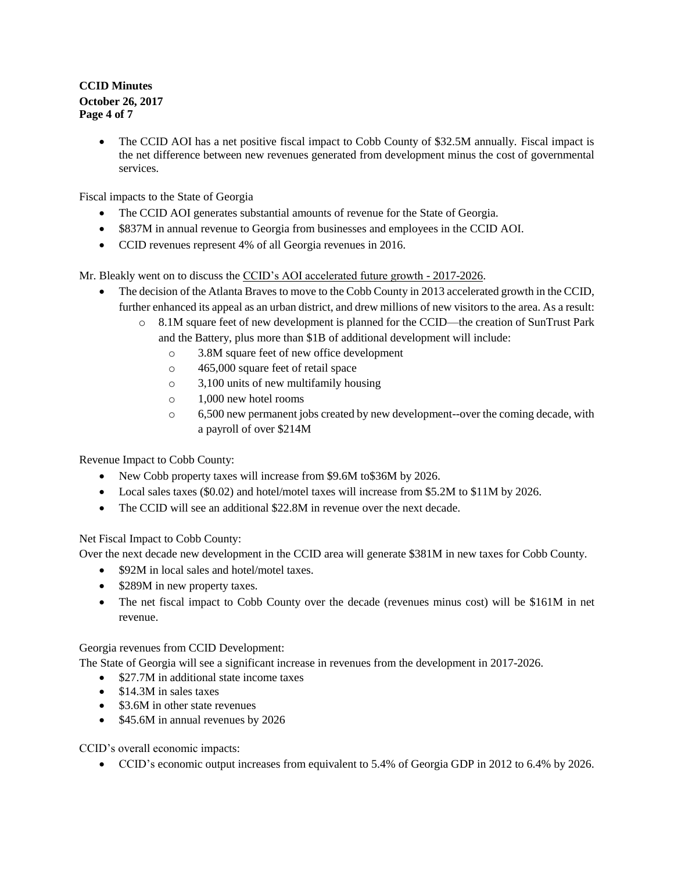# **CCID Minutes October 26, 2017 Page 4 of 7**

 The CCID AOI has a net positive fiscal impact to Cobb County of \$32.5M annually. Fiscal impact is the net difference between new revenues generated from development minus the cost of governmental services.

Fiscal impacts to the State of Georgia

- The CCID AOI generates substantial amounts of revenue for the State of Georgia.
- \$837M in annual revenue to Georgia from businesses and employees in the CCID AOI.
- CCID revenues represent 4% of all Georgia revenues in 2016.

Mr. Bleakly went on to discuss the CCID's AOI accelerated future growth - 2017-2026.

- The decision of the Atlanta Braves to move to the Cobb County in 2013 accelerated growth in the CCID, further enhanced its appeal as an urban district, and drew millions of new visitors to the area. As a result:
	- o 8.1M square feet of new development is planned for the CCID—the creation of SunTrust Park and the Battery, plus more than \$1B of additional development will include:
		- o 3.8M square feet of new office development
		- o 465,000 square feet of retail space
		- o 3,100 units of new multifamily housing
		- o 1,000 new hotel rooms
		- o 6,500 new permanent jobs created by new development--over the coming decade, with a payroll of over \$214M

Revenue Impact to Cobb County:

- New Cobb property taxes will increase from \$9.6M to \$36M by 2026.
- Local sales taxes (\$0.02) and hotel/motel taxes will increase from \$5.2M to \$11M by 2026.
- The CCID will see an additional \$22.8M in revenue over the next decade.

Net Fiscal Impact to Cobb County:

Over the next decade new development in the CCID area will generate \$381M in new taxes for Cobb County.

- \$92M in local sales and hotel/motel taxes.
- \$289M in new property taxes.
- The net fiscal impact to Cobb County over the decade (revenues minus cost) will be \$161M in net revenue.

Georgia revenues from CCID Development:

The State of Georgia will see a significant increase in revenues from the development in 2017-2026.

- \$27.7M in additional state income taxes
- \$14.3M in sales taxes
- \$3.6M in other state revenues
- \$45.6M in annual revenues by 2026

CCID's overall economic impacts:

CCID's economic output increases from equivalent to 5.4% of Georgia GDP in 2012 to 6.4% by 2026.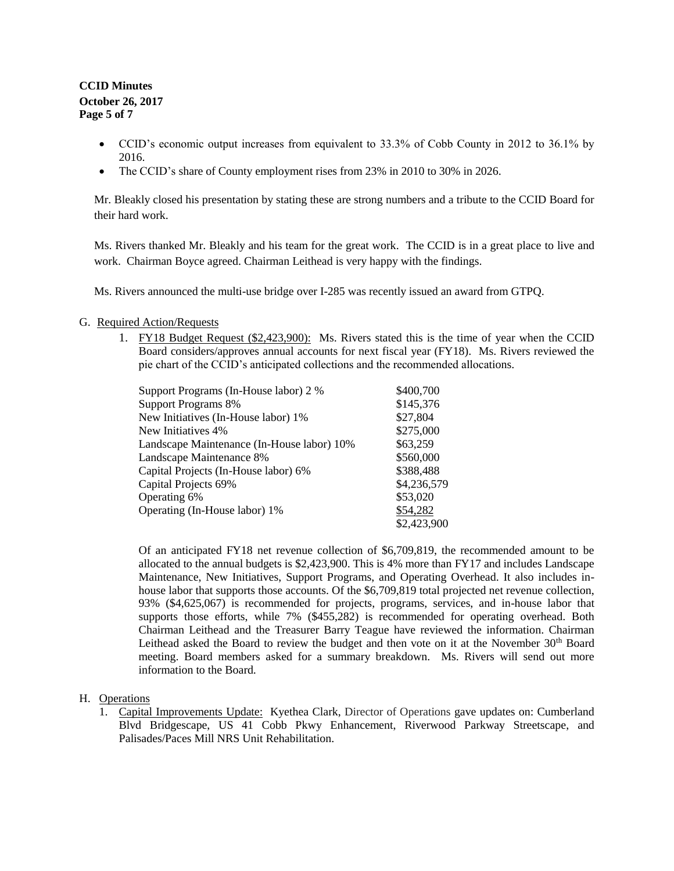## **CCID Minutes October 26, 2017 Page 5 of 7**

- CCID's economic output increases from equivalent to 33.3% of Cobb County in 2012 to 36.1% by 2016.
- The CCID's share of County employment rises from 23% in 2010 to 30% in 2026.

Mr. Bleakly closed his presentation by stating these are strong numbers and a tribute to the CCID Board for their hard work.

Ms. Rivers thanked Mr. Bleakly and his team for the great work. The CCID is in a great place to live and work. Chairman Boyce agreed. Chairman Leithead is very happy with the findings.

Ms. Rivers announced the multi-use bridge over I-285 was recently issued an award from GTPQ.

#### G. Required Action/Requests

1. FY18 Budget Request (\$2,423,900): Ms. Rivers stated this is the time of year when the CCID Board considers/approves annual accounts for next fiscal year (FY18). Ms. Rivers reviewed the pie chart of the CCID's anticipated collections and the recommended allocations.

| Support Programs (In-House labor) 2 %      | \$400,700   |
|--------------------------------------------|-------------|
| <b>Support Programs 8%</b>                 | \$145,376   |
| New Initiatives (In-House labor) 1%        | \$27,804    |
| New Initiatives 4%                         | \$275,000   |
| Landscape Maintenance (In-House labor) 10% | \$63,259    |
| <b>Landscape Maintenance 8%</b>            | \$560,000   |
| Capital Projects (In-House labor) 6%       | \$388,488   |
| Capital Projects 69%                       | \$4,236,579 |
| Operating 6%                               | \$53,020    |
| Operating (In-House labor) 1%              | \$54,282    |
|                                            | \$2,423,900 |

Of an anticipated FY18 net revenue collection of \$6,709,819, the recommended amount to be allocated to the annual budgets is \$2,423,900. This is 4% more than FY17 and includes Landscape Maintenance, New Initiatives, Support Programs, and Operating Overhead. It also includes inhouse labor that supports those accounts. Of the \$6,709,819 total projected net revenue collection, 93% (\$4,625,067) is recommended for projects, programs, services, and in-house labor that supports those efforts, while 7% (\$455,282) is recommended for operating overhead. Both Chairman Leithead and the Treasurer Barry Teague have reviewed the information. Chairman Leithead asked the Board to review the budget and then vote on it at the November 30<sup>th</sup> Board meeting. Board members asked for a summary breakdown. Ms. Rivers will send out more information to the Board.

#### H. Operations

1. Capital Improvements Update: Kyethea Clark, Director of Operations gave updates on: Cumberland Blvd Bridgescape, US 41 Cobb Pkwy Enhancement, Riverwood Parkway Streetscape, and Palisades/Paces Mill NRS Unit Rehabilitation.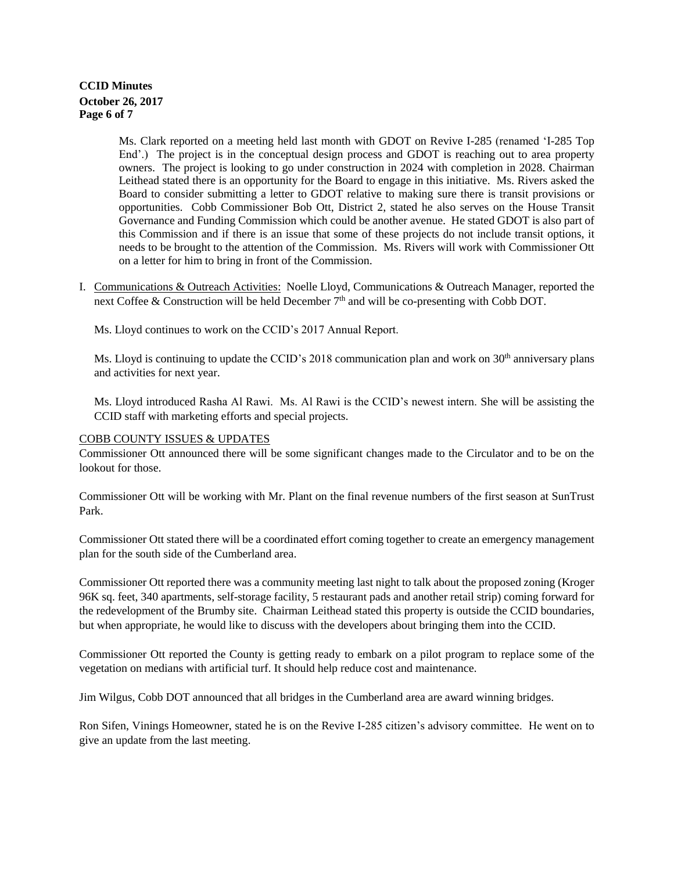### **CCID Minutes October 26, 2017 Page 6 of 7**

Ms. Clark reported on a meeting held last month with GDOT on Revive I-285 (renamed 'I-285 Top End'.) The project is in the conceptual design process and GDOT is reaching out to area property owners. The project is looking to go under construction in 2024 with completion in 2028. Chairman Leithead stated there is an opportunity for the Board to engage in this initiative. Ms. Rivers asked the Board to consider submitting a letter to GDOT relative to making sure there is transit provisions or opportunities. Cobb Commissioner Bob Ott, District 2, stated he also serves on the House Transit Governance and Funding Commission which could be another avenue. He stated GDOT is also part of this Commission and if there is an issue that some of these projects do not include transit options, it needs to be brought to the attention of the Commission. Ms. Rivers will work with Commissioner Ott on a letter for him to bring in front of the Commission.

I. Communications & Outreach Activities: Noelle Lloyd, Communications & Outreach Manager, reported the next Coffee & Construction will be held December 7<sup>th</sup> and will be co-presenting with Cobb DOT.

Ms. Lloyd continues to work on the CCID's 2017 Annual Report.

Ms. Lloyd is continuing to update the CCID's 2018 communication plan and work on  $30<sup>th</sup>$  anniversary plans and activities for next year.

Ms. Lloyd introduced Rasha Al Rawi. Ms. Al Rawi is the CCID's newest intern. She will be assisting the CCID staff with marketing efforts and special projects.

### COBB COUNTY ISSUES & UPDATES

Commissioner Ott announced there will be some significant changes made to the Circulator and to be on the lookout for those.

Commissioner Ott will be working with Mr. Plant on the final revenue numbers of the first season at SunTrust Park.

Commissioner Ott stated there will be a coordinated effort coming together to create an emergency management plan for the south side of the Cumberland area.

Commissioner Ott reported there was a community meeting last night to talk about the proposed zoning (Kroger 96K sq. feet, 340 apartments, self-storage facility, 5 restaurant pads and another retail strip) coming forward for the redevelopment of the Brumby site. Chairman Leithead stated this property is outside the CCID boundaries, but when appropriate, he would like to discuss with the developers about bringing them into the CCID.

Commissioner Ott reported the County is getting ready to embark on a pilot program to replace some of the vegetation on medians with artificial turf. It should help reduce cost and maintenance.

Jim Wilgus, Cobb DOT announced that all bridges in the Cumberland area are award winning bridges.

Ron Sifen, Vinings Homeowner, stated he is on the Revive I-285 citizen's advisory committee. He went on to give an update from the last meeting.